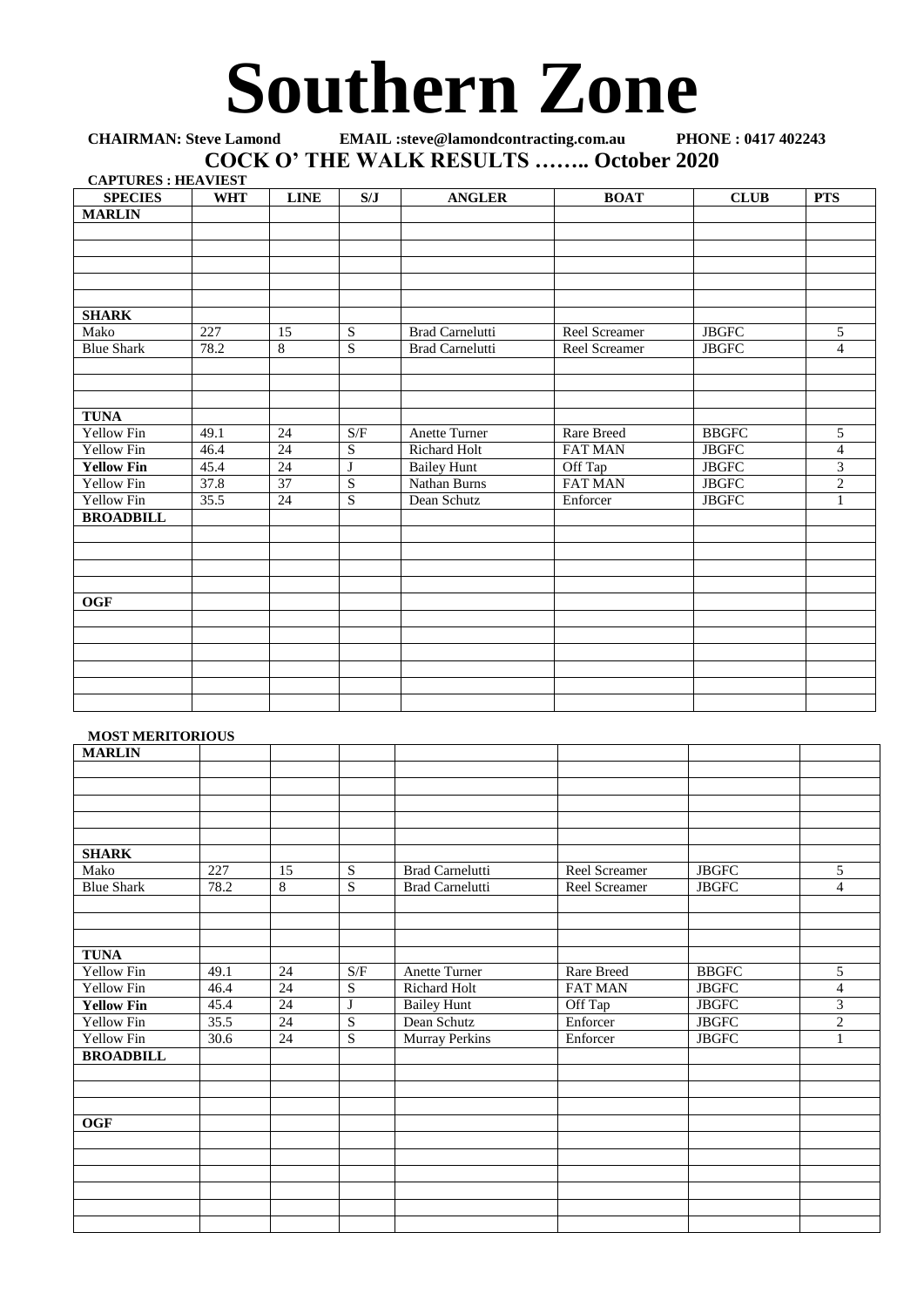## **Southern Zone**

## **CHAIRMAN: Steve Lamond EMAIL :steve@lamondcontracting.com.au PHONE : 0417 402243 COCK O' THE WALK RESULTS …….. October 2020 CAPTURES : HEAVIEST**

| <b>CAPTURES : HEAVIEST</b><br><b>SPECIES</b> | <b>WHT</b> | <b>LINE</b>     | S/J            | <b>ANGLER</b>          | <b>BOAT</b>       | <b>CLUB</b>   | <b>PTS</b>     |
|----------------------------------------------|------------|-----------------|----------------|------------------------|-------------------|---------------|----------------|
| <b>MARLIN</b>                                |            |                 |                |                        |                   |               |                |
|                                              |            |                 |                |                        |                   |               |                |
|                                              |            |                 |                |                        |                   |               |                |
|                                              |            |                 |                |                        |                   |               |                |
|                                              |            |                 |                |                        |                   |               |                |
|                                              |            |                 |                |                        |                   |               |                |
| <b>SHARK</b>                                 |            |                 |                |                        |                   |               |                |
| Mako                                         | 227        | 15              | S              | <b>Brad Carnelutti</b> | Reel Screamer     | ${\rm JBGFC}$ | 5              |
| <b>Blue Shark</b>                            | 78.2       | $\overline{8}$  | $\overline{S}$ | <b>Brad Carnelutti</b> | Reel Screamer     | ${\rm JBGFC}$ | $\overline{4}$ |
|                                              |            |                 |                |                        |                   |               |                |
|                                              |            |                 |                |                        |                   |               |                |
|                                              |            |                 |                |                        |                   |               |                |
| <b>TUNA</b>                                  |            |                 |                |                        |                   |               |                |
| <b>Yellow Fin</b>                            | 49.1       | 24              | S/F            | Anette Turner          | <b>Rare Breed</b> | <b>BBGFC</b>  | 5              |
| <b>Yellow Fin</b>                            | 46.4       | $\overline{24}$ | $\mathbf S$    | Richard Holt           | <b>FAT MAN</b>    | ${\rm JBGFC}$ | $\overline{4}$ |
| <b>Yellow Fin</b>                            | 45.4       | $\overline{24}$ | J              | <b>Bailey Hunt</b>     | Off Tap           | <b>JBGFC</b>  | $\overline{3}$ |
| Yellow Fin                                   | 37.8       | $\overline{37}$ | $\overline{S}$ | Nathan Burns           | FAT MAN           | ${\rm JBGFC}$ | $\overline{c}$ |
| <b>Yellow Fin</b>                            | 35.5       | $\overline{24}$ | $\overline{S}$ | Dean Schutz            | Enforcer          | <b>JBGFC</b>  | 1              |
| <b>BROADBILL</b>                             |            |                 |                |                        |                   |               |                |
|                                              |            |                 |                |                        |                   |               |                |
|                                              |            |                 |                |                        |                   |               |                |
|                                              |            |                 |                |                        |                   |               |                |
|                                              |            |                 |                |                        |                   |               |                |
| <b>OGF</b>                                   |            |                 |                |                        |                   |               |                |
|                                              |            |                 |                |                        |                   |               |                |
|                                              |            |                 |                |                        |                   |               |                |
|                                              |            |                 |                |                        |                   |               |                |
|                                              |            |                 |                |                        |                   |               |                |
|                                              |            |                 |                |                        |                   |               |                |
|                                              |            |                 |                |                        |                   |               |                |

## **MOST MERITORIOUS**

| <b>MARLIN</b>     |                   |                 |             |                        |                   |                     |                |
|-------------------|-------------------|-----------------|-------------|------------------------|-------------------|---------------------|----------------|
|                   |                   |                 |             |                        |                   |                     |                |
|                   |                   |                 |             |                        |                   |                     |                |
|                   |                   |                 |             |                        |                   |                     |                |
|                   |                   |                 |             |                        |                   |                     |                |
|                   |                   |                 |             |                        |                   |                     |                |
| <b>SHARK</b>      |                   |                 |             |                        |                   |                     |                |
| Mako              | 227               | 15              | $\mathbf S$ | <b>Brad Carnelutti</b> | Reel Screamer     | $_{\mathrm{JBGFC}}$ | 5              |
| <b>Blue Shark</b> | 78.2              | $\,8\,$         | ${\bf S}$   | <b>Brad Carnelutti</b> | Reel Screamer     | $_{\mathrm{JBGFC}}$ | $\overline{4}$ |
|                   |                   |                 |             |                        |                   |                     |                |
|                   |                   |                 |             |                        |                   |                     |                |
|                   |                   |                 |             |                        |                   |                     |                |
| <b>TUNA</b>       |                   |                 |             |                        |                   |                     |                |
| Yellow Fin        | 49.1              | $\overline{24}$ | S/F         | <b>Anette Turner</b>   | <b>Rare Breed</b> | <b>BBGFC</b>        | 5              |
| Yellow Fin        | 46.4              | $\overline{24}$ | S           | Richard Holt           | <b>FAT MAN</b>    | <b>JBGFC</b>        | 4              |
| <b>Yellow Fin</b> | 45.4              | $\overline{24}$ | $\bf J$     | <b>Bailey Hunt</b>     | Off Tap           | <b>JBGFC</b>        | $\overline{3}$ |
| <b>Yellow Fin</b> | 35.5              | 24              | ${\bf S}$   | Dean Schutz            | Enforcer          | <b>JBGFC</b>        | $\overline{c}$ |
| Yellow Fin        | $\overline{30.6}$ | $\overline{24}$ | S           | <b>Murray Perkins</b>  | Enforcer          | <b>JBGFC</b>        |                |
| <b>BROADBILL</b>  |                   |                 |             |                        |                   |                     |                |
|                   |                   |                 |             |                        |                   |                     |                |
|                   |                   |                 |             |                        |                   |                     |                |
|                   |                   |                 |             |                        |                   |                     |                |
| OGF               |                   |                 |             |                        |                   |                     |                |
|                   |                   |                 |             |                        |                   |                     |                |
|                   |                   |                 |             |                        |                   |                     |                |
|                   |                   |                 |             |                        |                   |                     |                |
|                   |                   |                 |             |                        |                   |                     |                |
|                   |                   |                 |             |                        |                   |                     |                |
|                   |                   |                 |             |                        |                   |                     |                |